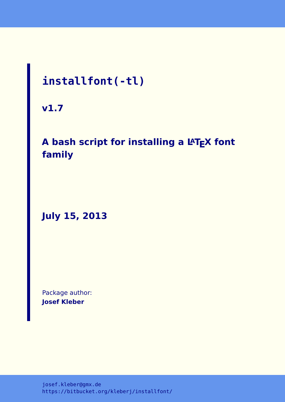# **installfont(-tl)**

**v1.7**

# A bash script for installing a L<sup>A</sup>TEX font **family**

**July 15, 2013**

Package author: **Josef Kleber**

[josef.kleber@gmx.de](mailto:josef.kleber@gmx.de) <https://bitbucket.org/kleberj/installfont/>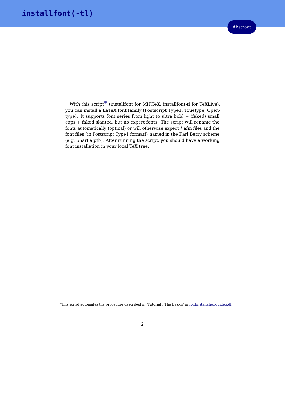With this script<sup>[\\*](#page-1-0)</sup> (installfont for MiKTeX; installfont-tl for TeXLive), you can install a LaTeX font family (Postscript Type1, Truetype, Opentype). It supports font series from light to ultra bold + (faked) small caps + faked slanted, but no expert fonts. The script will rename the fonts automatically (optinal) or will otherwise expect \*.afm files and the font files (in Postscript Type1 format!) named in the Karl Berry scheme (e.g. 5nar8a.pfb). After running the script, you should have a working font installation in your local TeX tree.

<span id="page-1-0"></span><sup>\*</sup>This script automates the procedure described in 'Tutorial I The Basics' in [fontinstallationguide.pdf](ftp://dante.ctan.org/tex-archive/info/Type1fonts/fontinstallationguide/fontinstallationguide.pdf)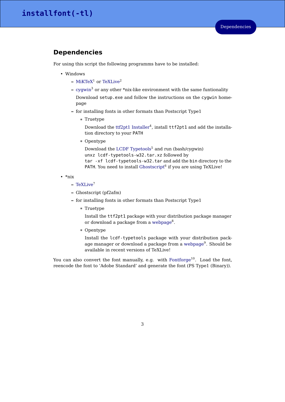### **Dependencies**

For using this script the following programms have to be installed:

- Windows
	- **–** [MiKTeX](http://www.miktex.org/)<sup>1</sup> or [TeXLive](http://www.tug.org/texlive/)<sup>2</sup>
	- **–** [cygwin](http://www.cygwin.com/)<sup>3</sup> or any other \*nix-like environment with the same funtionality

Download setup.exe and follow the instructions on the cygwin homepage

- **–** for installing fonts in other formats than Postscript Type1
	- \* Truetype

Download the  $ttf2pt1$  Installer<sup>4</sup>, install  $ttf2pt1$  and add the installation directory to your PATH

\* Opentype

Download the [LCDF Typetools](ftp://akagi.ms.u-tokyo.ac.jp/pub/TeX/win32/lcdf-typetools-w32.tar.xz)<sup>5</sup> and run (bash/cygwin) unxz lcdf-typetools-w32.tar.xz followed by tar -xf lcdf-typetools-w32.tar and add the bin directory to the PATH. You need to install [Ghostscript](http://www.ghostscript.com/)<sup>6</sup> if you are using TeXLive!

- \*nix
	- **–** [TeXLive](http://www.tug.org/texlive/)<sup>7</sup>
	- **–** Ghostscript (pf2afm)
	- **–** for installing fonts in other formats than Postscript Type1
		- \* Truetype

Install the ttf2pt1 package with your distribution package manager or download a package from a [webpage](http://packages.ubuntu.com/search?lang=en&keywords=ttf2pt1)<sup>8</sup>.

\* Opentype

Install the lcdf-typetools package with your distribution package manager or download a package from a [webpage](http://packages.ubuntu.com/search?lang=en&keywords=lcdf-typetools)<sup>9</sup>. Should be available in recent versions of TeXLive!

You can also convert the font manually, e.g. with [Fontforge](http://fontforge.sourceforge.net/)<sup>10</sup>. Load the font, reencode the font to 'Adobe Standard' and generate the font (PS Type1 (Binary)).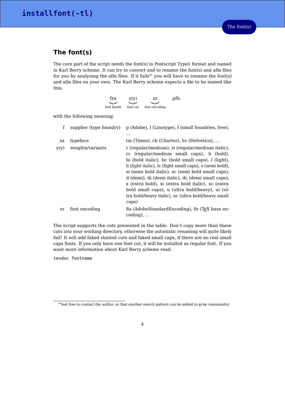# **The font(s)**

The core part of the script needs the font(s) in Postscript Type1 format and named in Karl Berry scheme. It can try to convert and to rename the font(s) and afm files for you by analyzing the afm files. If it fails[\\*\\*](#page-3-0) you will have to rename the font(s) and afm files on your own. The Karl Berry scheme expects a file to be named like this:

| fxx         | y(y)     | ZZ.           | .pfb |
|-------------|----------|---------------|------|
|             |          |               |      |
| font family | font cut | font encoding |      |

with the following meaning:

| f    | supplier (type foundry) | p (Adobe), l (Linotype), f (small foundries, free),                                                                                                                                                                                                                                                                                                                                                                                                                                             |  |
|------|-------------------------|-------------------------------------------------------------------------------------------------------------------------------------------------------------------------------------------------------------------------------------------------------------------------------------------------------------------------------------------------------------------------------------------------------------------------------------------------------------------------------------------------|--|
|      |                         | .                                                                                                                                                                                                                                                                                                                                                                                                                                                                                               |  |
| XX.  | typeface                | tm (Times), ch (Charter), hy (Helvetica),                                                                                                                                                                                                                                                                                                                                                                                                                                                       |  |
| y(y) | weights/variants        | r (regular/medium), ri (regular/medium italic),<br>rc (regular/medium small caps), b (bold),<br>bi (bold italic), bc (bold small caps), l (light),<br>li (light italic), lc (light small caps), s (semi bold),<br>si (semi bold italic), sc (semi bold small caps),<br>d (demi), di (demi italic), dc (demi small caps),<br>x (extra bold), xi (extra bold italic), xc (extra<br>bold small caps), u (ultra bold/heavy), ui (ul-<br>tra bold/heavy italic), uc (ultra bold/heavy small<br>caps) |  |
| ZZ   | font encoding           | 8a (AdobeStandardEncoding), 8r (T <sub>F</sub> X base en-<br>$coding)$ ,                                                                                                                                                                                                                                                                                                                                                                                                                        |  |

The script supports the cuts presented in the table. Don't copy more than these cuts into your working directory, otherwise the automatic renaming will quite likely fail! It will add faked slanted cuts and faked small caps, if there are no real small caps fonts. If you only have one font cut, it will be installed as regular font. If you want more information about Karl Berry scheme read:

texdoc fontname

<span id="page-3-0"></span><sup>\*\*</sup>feel free to contact the author, so that another search pattern can be added to grep command(s)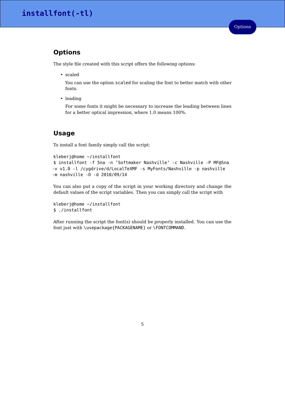# **Options**

The style file created with this script offers the following options:

• scaled

You can use the option scaled for scaling the font to better match with other fonts.

• leading

For some fonts it might be necessary to increase the leading between lines for a better optical impression, where 1.0 means 100%.

### **Usage**

To install a font family simply call the script:

```
kleberj@home ~/installfont
$ installfont -f 5na -n 'Softmaker Nashville' -c Nashville -P MF@Sna
-v v1.0 -l /cygdrive/d/LocalTeXMF -s MyFonts/Nashville -p nashville
-m nashville -O -d 2010/09/14
```
You can also put a copy of the script in your working directory and change the default values of the script variables. Then you can simply call the script with

```
kleberj@home ~/installfont
$ ./installfont
```
After running the script the font(s) should be properly installed. You can use the font just with \usepackage{PACKAGENAME} or \FONTCOMMAND.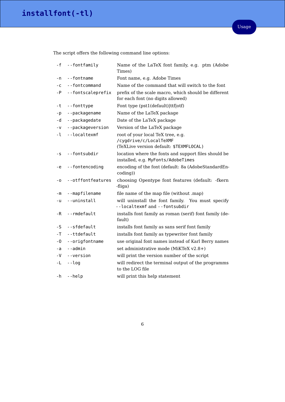The script offers the following command line options:

| - f  | --fontfamily      | Name of the LaTeX font family, e.g. ptm (Adobe<br>Times)                                               |  |
|------|-------------------|--------------------------------------------------------------------------------------------------------|--|
| - n  | --fontname        | Font name, e.g. Adobe Times                                                                            |  |
| $-C$ | --fontcommand     | Name of the command that will switch to the font                                                       |  |
| $-P$ | --fontscaleprefix | prefix of the scale macro, which should be different<br>for each font (no digits allowed)              |  |
| -t   | --fonttype        | Font type (pst1(default) ttf otf)                                                                      |  |
| - p  | --packagename     | Name of the LaTeX package                                                                              |  |
| - d  | --packagedate     | Date of the LaTeX package                                                                              |  |
| - v  | --packageversion  | Version of the LaTeX package                                                                           |  |
| - Լ  | --localtexmf      | root of your local TeX tree, e.g.<br>/cygdrive/c/LocalTeXMF<br>(TeXLive version default: \$TEXMFLOCAL) |  |
| - S  | --fontsubdir      | location where the fonts and support files should be<br>installed, e.g. MyFonts/AdobeTimes             |  |
| -е   | --fontencoding    | encoding of the font (default: 8a (AdobeStandardEn-<br>coding))                                        |  |
| - 0  | --otffontfeatures | choosing Opentype font features (default: -fkern<br>-fliga)                                            |  |
| - m  | --mapfilename     | file name of the map file (without .map)                                                               |  |
| - u  | --uninstall       | will uninstall the font family. You must specify<br>--localtexmf and --fontsubdir                      |  |
| -R   | --rmdefault       | installs font family as roman (serif) font family (de-<br>fault)                                       |  |
| -S   | --sfdefault       | installs font family as sans serif font family                                                         |  |
| -T   | --ttdefault       | installs font family as typewriter font family                                                         |  |
| - 0  | --origfontname    | use original font names instead of Karl Berry names                                                    |  |
| -а   | --admin           | set administrative mode (MiKTeX v2.8+)                                                                 |  |
| - V  | --version         | will print the version number of the script                                                            |  |
| -L   | --log             | will redirect the terminal output of the programms<br>to the LOG file                                  |  |
| - h  | --help            | will print this help statement                                                                         |  |